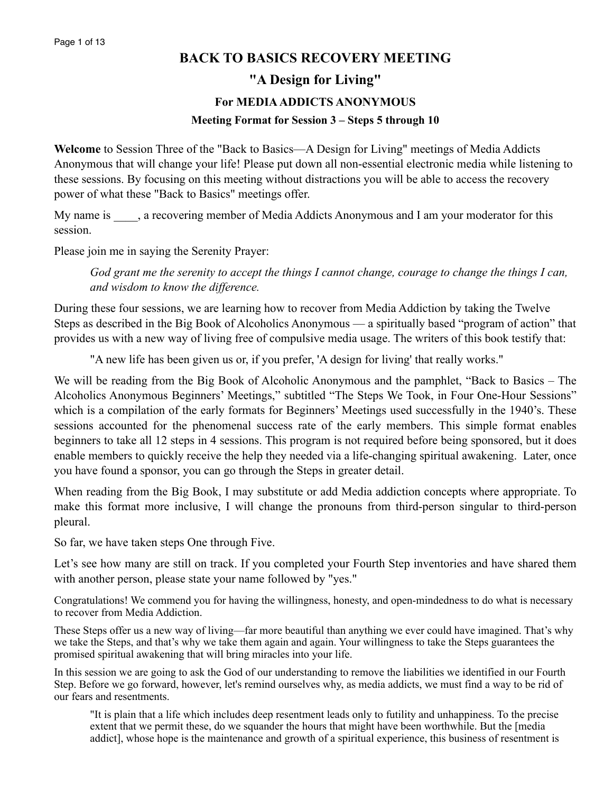# **BACK TO BASICS RECOVERY MEETING "A Design for Living"**

# **For MEDIA ADDICTS ANONYMOUS Meeting Format for Session 3 – Steps 5 through 10**

**Welcome** to Session Three of the "Back to Basics—A Design for Living" meetings of Media Addicts Anonymous that will change your life! Please put down all non-essential electronic media while listening to these sessions. By focusing on this meeting without distractions you will be able to access the recovery power of what these "Back to Basics" meetings offer.

My name is exercise a recovering member of Media Addicts Anonymous and I am your moderator for this session.

Please join me in saying the Serenity Prayer:

*God grant me the serenity to accept the things I cannot change, courage to change the things I can, and wisdom to know the difference.*

During these four sessions, we are learning how to recover from Media Addiction by taking the Twelve Steps as described in the Big Book of Alcoholics Anonymous — a spiritually based "program of action" that provides us with a new way of living free of compulsive media usage. The writers of this book testify that:

"A new life has been given us or, if you prefer, 'A design for living' that really works."

We will be reading from the Big Book of Alcoholic Anonymous and the pamphlet, "Back to Basics – The Alcoholics Anonymous Beginners' Meetings," subtitled "The Steps We Took, in Four One-Hour Sessions" which is a compilation of the early formats for Beginners' Meetings used successfully in the 1940's. These sessions accounted for the phenomenal success rate of the early members. This simple format enables beginners to take all 12 steps in 4 sessions. This program is not required before being sponsored, but it does enable members to quickly receive the help they needed via a life-changing spiritual awakening. Later, once you have found a sponsor, you can go through the Steps in greater detail.

When reading from the Big Book, I may substitute or add Media addiction concepts where appropriate. To make this format more inclusive, I will change the pronouns from third-person singular to third-person pleural.

So far, we have taken steps One through Five.

Let's see how many are still on track. If you completed your Fourth Step inventories and have shared them with another person, please state your name followed by "yes."

Congratulations! We commend you for having the willingness, honesty, and open-mindedness to do what is necessary to recover from Media Addiction.

These Steps offer us a new way of living—far more beautiful than anything we ever could have imagined. That's why we take the Steps, and that's why we take them again and again. Your willingness to take the Steps guarantees the promised spiritual awakening that will bring miracles into your life.

In this session we are going to ask the God of our understanding to remove the liabilities we identified in our Fourth Step. Before we go forward, however, let's remind ourselves why, as media addicts, we must find a way to be rid of our fears and resentments.

"It is plain that a life which includes deep resentment leads only to futility and unhappiness. To the precise extent that we permit these, do we squander the hours that might have been worthwhile. But the [media addict], whose hope is the maintenance and growth of a spiritual experience, this business of resentment is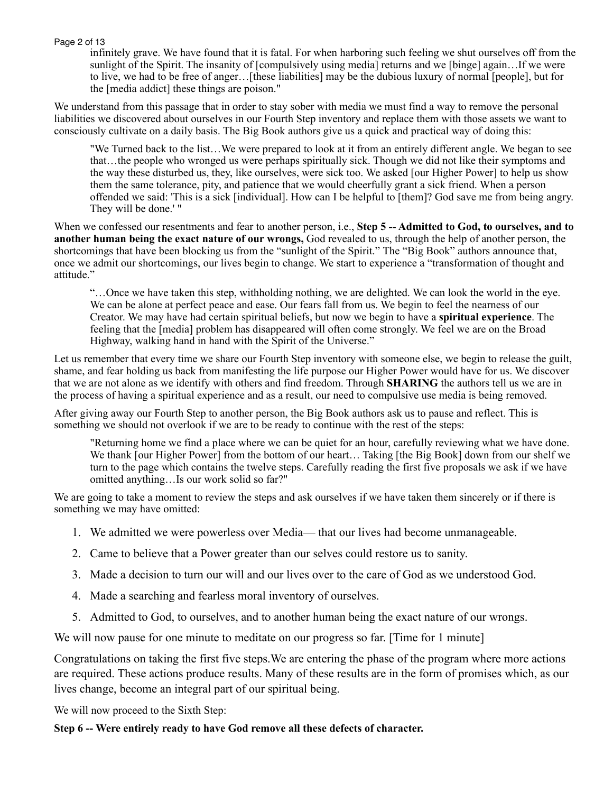Page 2 of 13

infinitely grave. We have found that it is fatal. For when harboring such feeling we shut ourselves off from the sunlight of the Spirit. The insanity of [compulsively using media] returns and we [binge] again...If we were to live, we had to be free of anger…[these liabilities] may be the dubious luxury of normal [people], but for the [media addict] these things are poison."

We understand from this passage that in order to stay sober with media we must find a way to remove the personal liabilities we discovered about ourselves in our Fourth Step inventory and replace them with those assets we want to consciously cultivate on a daily basis. The Big Book authors give us a quick and practical way of doing this:

"We Turned back to the list…We were prepared to look at it from an entirely different angle. We began to see that…the people who wronged us were perhaps spiritually sick. Though we did not like their symptoms and the way these disturbed us, they, like ourselves, were sick too. We asked [our Higher Power] to help us show them the same tolerance, pity, and patience that we would cheerfully grant a sick friend. When a person offended we said: 'This is a sick [individual]. How can I be helpful to [them]? God save me from being angry. They will be done.' "

When we confessed our resentments and fear to another person, i.e., **Step 5 -- Admitted to God, to ourselves, and to another human being the exact nature of our wrongs,** God revealed to us, through the help of another person, the shortcomings that have been blocking us from the "sunlight of the Spirit." The "Big Book" authors announce that, once we admit our shortcomings, our lives begin to change. We start to experience a "transformation of thought and attitude."

"…Once we have taken this step, withholding nothing, we are delighted. We can look the world in the eye. We can be alone at perfect peace and ease. Our fears fall from us. We begin to feel the nearness of our Creator. We may have had certain spiritual beliefs, but now we begin to have a **spiritual experience**. The feeling that the [media] problem has disappeared will often come strongly. We feel we are on the Broad Highway, walking hand in hand with the Spirit of the Universe."

Let us remember that every time we share our Fourth Step inventory with someone else, we begin to release the guilt, shame, and fear holding us back from manifesting the life purpose our Higher Power would have for us. We discover that we are not alone as we identify with others and find freedom. Through **SHARING** the authors tell us we are in the process of having a spiritual experience and as a result, our need to compulsive use media is being removed.

After giving away our Fourth Step to another person, the Big Book authors ask us to pause and reflect. This is something we should not overlook if we are to be ready to continue with the rest of the steps:

"Returning home we find a place where we can be quiet for an hour, carefully reviewing what we have done. We thank [our Higher Power] from the bottom of our heart… Taking [the Big Book] down from our shelf we turn to the page which contains the twelve steps. Carefully reading the first five proposals we ask if we have omitted anything…Is our work solid so far?"

We are going to take a moment to review the steps and ask ourselves if we have taken them sincerely or if there is something we may have omitted:

- 1. We admitted we were powerless over Media— that our lives had become unmanageable.
- 2. Came to believe that a Power greater than our selves could restore us to sanity.
- 3. Made a decision to turn our will and our lives over to the care of God as we understood God.
- 4. Made a searching and fearless moral inventory of ourselves.
- 5. Admitted to God, to ourselves, and to another human being the exact nature of our wrongs.

We will now pause for one minute to meditate on our progress so far. [Time for 1 minute]

Congratulations on taking the first five steps.We are entering the phase of the program where more actions are required. These actions produce results. Many of these results are in the form of promises which, as our lives change, become an integral part of our spiritual being.

We will now proceed to the Sixth Step:

## **Step 6 -- Were entirely ready to have God remove all these defects of character.**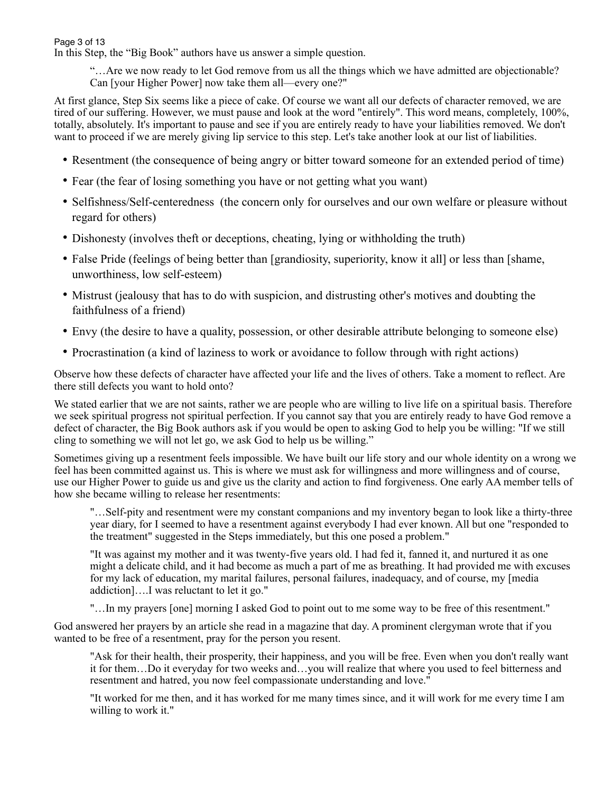Page 3 of 13

In this Step, the "Big Book" authors have us answer a simple question.

"…Are we now ready to let God remove from us all the things which we have admitted are objectionable? Can [your Higher Power] now take them all—every one?"

At first glance, Step Six seems like a piece of cake. Of course we want all our defects of character removed, we are tired of our suffering. However, we must pause and look at the word "entirely". This word means, completely, 100%, totally, absolutely. It's important to pause and see if you are entirely ready to have your liabilities removed. We don't want to proceed if we are merely giving lip service to this step. Let's take another look at our list of liabilities.

- Resentment (the consequence of being angry or bitter toward someone for an extended period of time)
- Fear (the fear of losing something you have or not getting what you want)
- Selfishness/Self-centeredness (the concern only for ourselves and our own welfare or pleasure without regard for others)
- Dishonesty (involves theft or deceptions, cheating, lying or withholding the truth)
- False Pride (feelings of being better than [grandiosity, superiority, know it all] or less than [shame, unworthiness, low self-esteem)
- Mistrust (jealousy that has to do with suspicion, and distrusting other's motives and doubting the faithfulness of a friend)
- Envy (the desire to have a quality, possession, or other desirable attribute belonging to someone else)
- Procrastination (a kind of laziness to work or avoidance to follow through with right actions)

Observe how these defects of character have affected your life and the lives of others. Take a moment to reflect. Are there still defects you want to hold onto?

We stated earlier that we are not saints, rather we are people who are willing to live life on a spiritual basis. Therefore we seek spiritual progress not spiritual perfection. If you cannot say that you are entirely ready to have God remove a defect of character, the Big Book authors ask if you would be open to asking God to help you be willing: "If we still cling to something we will not let go, we ask God to help us be willing."

Sometimes giving up a resentment feels impossible. We have built our life story and our whole identity on a wrong we feel has been committed against us. This is where we must ask for willingness and more willingness and of course, use our Higher Power to guide us and give us the clarity and action to find forgiveness. One early AA member tells of how she became willing to release her resentments:

"…Self-pity and resentment were my constant companions and my inventory began to look like a thirty-three year diary, for I seemed to have a resentment against everybody I had ever known. All but one "responded to the treatment" suggested in the Steps immediately, but this one posed a problem."

"It was against my mother and it was twenty-five years old. I had fed it, fanned it, and nurtured it as one might a delicate child, and it had become as much a part of me as breathing. It had provided me with excuses for my lack of education, my marital failures, personal failures, inadequacy, and of course, my [media addiction]….I was reluctant to let it go."

"…In my prayers [one] morning I asked God to point out to me some way to be free of this resentment."

God answered her prayers by an article she read in a magazine that day. A prominent clergyman wrote that if you wanted to be free of a resentment, pray for the person you resent.

"Ask for their health, their prosperity, their happiness, and you will be free. Even when you don't really want it for them…Do it everyday for two weeks and…you will realize that where you used to feel bitterness and resentment and hatred, you now feel compassionate understanding and love."

"It worked for me then, and it has worked for me many times since, and it will work for me every time I am willing to work it."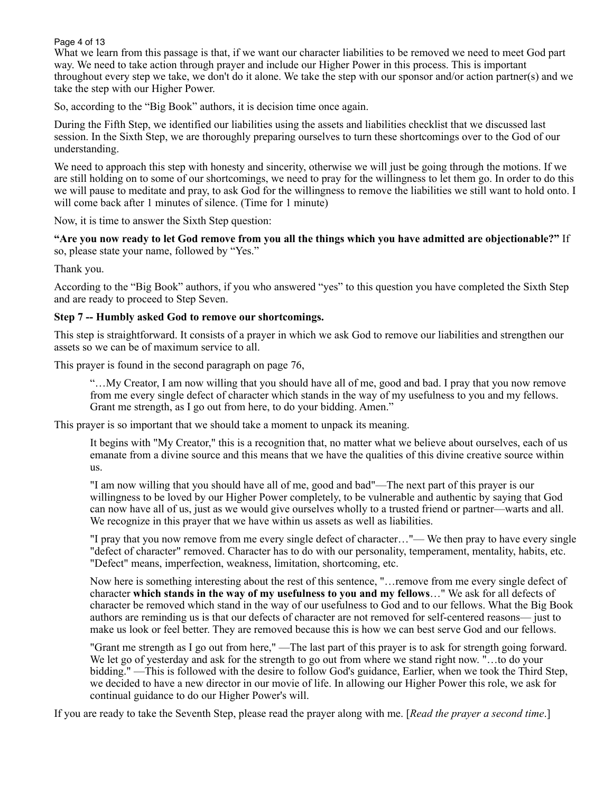## Page 4 of 13

What we learn from this passage is that, if we want our character liabilities to be removed we need to meet God part way. We need to take action through prayer and include our Higher Power in this process. This is important throughout every step we take, we don't do it alone. We take the step with our sponsor and/or action partner(s) and we take the step with our Higher Power.

So, according to the "Big Book" authors, it is decision time once again.

During the Fifth Step, we identified our liabilities using the assets and liabilities checklist that we discussed last session. In the Sixth Step, we are thoroughly preparing ourselves to turn these shortcomings over to the God of our understanding.

We need to approach this step with honesty and sincerity, otherwise we will just be going through the motions. If we are still holding on to some of our shortcomings, we need to pray for the willingness to let them go. In order to do this we will pause to meditate and pray, to ask God for the willingness to remove the liabilities we still want to hold onto. I will come back after 1 minutes of silence. (Time for 1 minute)

Now, it is time to answer the Sixth Step question:

**"Are you now ready to let God remove from you all the things which you have admitted are objectionable?"** If so, please state your name, followed by "Yes."

Thank you.

According to the "Big Book" authors, if you who answered "yes" to this question you have completed the Sixth Step and are ready to proceed to Step Seven.

## **Step 7 -- Humbly asked God to remove our shortcomings.**

This step is straightforward. It consists of a prayer in which we ask God to remove our liabilities and strengthen our assets so we can be of maximum service to all.

This prayer is found in the second paragraph on page 76,

"…My Creator, I am now willing that you should have all of me, good and bad. I pray that you now remove from me every single defect of character which stands in the way of my usefulness to you and my fellows. Grant me strength, as I go out from here, to do your bidding. Amen."

This prayer is so important that we should take a moment to unpack its meaning.

It begins with "My Creator," this is a recognition that, no matter what we believe about ourselves, each of us emanate from a divine source and this means that we have the qualities of this divine creative source within us.

"I am now willing that you should have all of me, good and bad"—The next part of this prayer is our willingness to be loved by our Higher Power completely, to be vulnerable and authentic by saying that God can now have all of us, just as we would give ourselves wholly to a trusted friend or partner—warts and all. We recognize in this prayer that we have within us assets as well as liabilities.

"I pray that you now remove from me every single defect of character…"— We then pray to have every single "defect of character" removed. Character has to do with our personality, temperament, mentality, habits, etc. "Defect" means, imperfection, weakness, limitation, shortcoming, etc.

Now here is something interesting about the rest of this sentence, "…remove from me every single defect of character **which stands in the way of my usefulness to you and my fellows**…" We ask for all defects of character be removed which stand in the way of our usefulness to God and to our fellows. What the Big Book authors are reminding us is that our defects of character are not removed for self-centered reasons— just to make us look or feel better. They are removed because this is how we can best serve God and our fellows.

"Grant me strength as I go out from here," —The last part of this prayer is to ask for strength going forward. We let go of yesterday and ask for the strength to go out from where we stand right now. "…to do your bidding." —This is followed with the desire to follow God's guidance, Earlier, when we took the Third Step, we decided to have a new director in our movie of life. In allowing our Higher Power this role, we ask for continual guidance to do our Higher Power's will.

If you are ready to take the Seventh Step, please read the prayer along with me. [*Read the prayer a second time*.]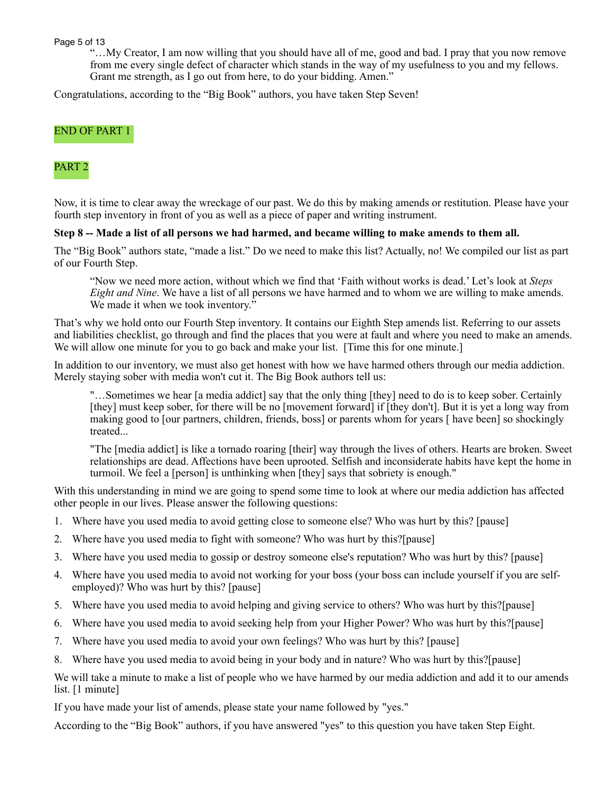### Page 5 of 13

"…My Creator, I am now willing that you should have all of me, good and bad. I pray that you now remove from me every single defect of character which stands in the way of my usefulness to you and my fellows. Grant me strength, as I go out from here, to do your bidding. Amen."

Congratulations, according to the "Big Book" authors, you have taken Step Seven!

## END OF PART 1

## PART 2

Now, it is time to clear away the wreckage of our past. We do this by making amends or restitution. Please have your fourth step inventory in front of you as well as a piece of paper and writing instrument.

## **Step 8 -- Made a list of all persons we had harmed, and became willing to make amends to them all.**

The "Big Book" authors state, "made a list." Do we need to make this list? Actually, no! We compiled our list as part of our Fourth Step.

"Now we need more action, without which we find that 'Faith without works is dead.' Let's look at *Steps Eight and Nine*. We have a list of all persons we have harmed and to whom we are willing to make amends. We made it when we took inventory."

That's why we hold onto our Fourth Step inventory. It contains our Eighth Step amends list. Referring to our assets and liabilities checklist, go through and find the places that you were at fault and where you need to make an amends. We will allow one minute for you to go back and make your list. [Time this for one minute.]

In addition to our inventory, we must also get honest with how we have harmed others through our media addiction. Merely staying sober with media won't cut it. The Big Book authors tell us:

"…Sometimes we hear [a media addict] say that the only thing [they] need to do is to keep sober. Certainly [they] must keep sober, for there will be no [movement forward] if [they don't]. But it is yet a long way from making good to [our partners, children, friends, boss] or parents whom for years [ have been] so shockingly treated...

"The [media addict] is like a tornado roaring [their] way through the lives of others. Hearts are broken. Sweet relationships are dead. Affections have been uprooted. Selfish and inconsiderate habits have kept the home in turmoil. We feel a [person] is unthinking when [they] says that sobriety is enough."

With this understanding in mind we are going to spend some time to look at where our media addiction has affected other people in our lives. Please answer the following questions:

- 1. Where have you used media to avoid getting close to someone else? Who was hurt by this? [pause]
- 2. Where have you used media to fight with someone? Who was hurt by this?[pause]
- 3. Where have you used media to gossip or destroy someone else's reputation? Who was hurt by this? [pause]
- 4. Where have you used media to avoid not working for your boss (your boss can include yourself if you are selfemployed)? Who was hurt by this? [pause]
- 5. Where have you used media to avoid helping and giving service to others? Who was hurt by this?[pause]
- 6. Where have you used media to avoid seeking help from your Higher Power? Who was hurt by this?[pause]
- 7. Where have you used media to avoid your own feelings? Who was hurt by this? [pause]
- 8. Where have you used media to avoid being in your body and in nature? Who was hurt by this?[pause]

We will take a minute to make a list of people who we have harmed by our media addiction and add it to our amends list. [1 minute]

If you have made your list of amends, please state your name followed by "yes."

According to the "Big Book" authors, if you have answered "yes" to this question you have taken Step Eight.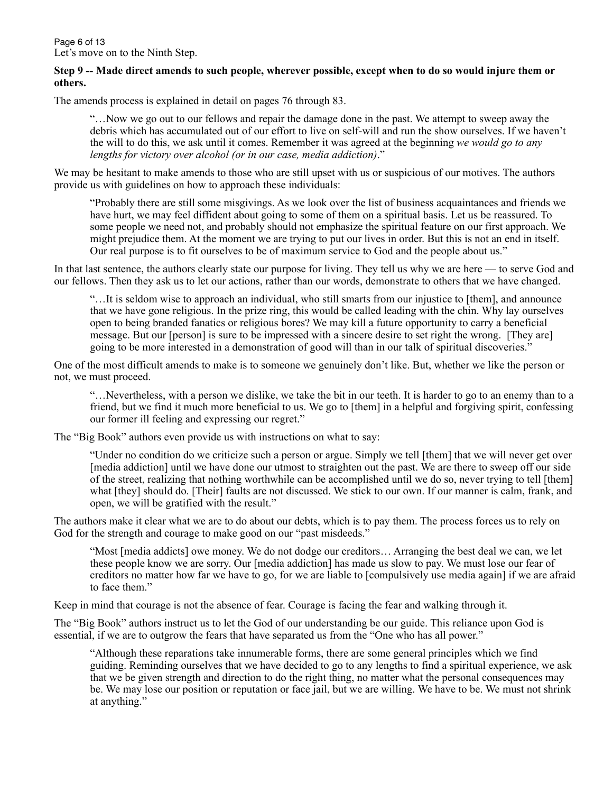Page 6 of 13 Let's move on to the Ninth Step.

## **Step 9 -- Made direct amends to such people, wherever possible, except when to do so would injure them or others.**

The amends process is explained in detail on pages 76 through 83.

"…Now we go out to our fellows and repair the damage done in the past. We attempt to sweep away the debris which has accumulated out of our effort to live on self-will and run the show ourselves. If we haven't the will to do this, we ask until it comes. Remember it was agreed at the beginning *we would go to any lengths for victory over alcohol (or in our case, media addiction)*."

We may be hesitant to make amends to those who are still upset with us or suspicious of our motives. The authors provide us with guidelines on how to approach these individuals:

"Probably there are still some misgivings. As we look over the list of business acquaintances and friends we have hurt, we may feel diffident about going to some of them on a spiritual basis. Let us be reassured. To some people we need not, and probably should not emphasize the spiritual feature on our first approach. We might prejudice them. At the moment we are trying to put our lives in order. But this is not an end in itself. Our real purpose is to fit ourselves to be of maximum service to God and the people about us."

In that last sentence, the authors clearly state our purpose for living. They tell us why we are here — to serve God and our fellows. Then they ask us to let our actions, rather than our words, demonstrate to others that we have changed.

"…It is seldom wise to approach an individual, who still smarts from our injustice to [them], and announce that we have gone religious. In the prize ring, this would be called leading with the chin. Why lay ourselves open to being branded fanatics or religious bores? We may kill a future opportunity to carry a beneficial message. But our [person] is sure to be impressed with a sincere desire to set right the wrong. [They are] going to be more interested in a demonstration of good will than in our talk of spiritual discoveries."

One of the most difficult amends to make is to someone we genuinely don't like. But, whether we like the person or not, we must proceed.

"…Nevertheless, with a person we dislike, we take the bit in our teeth. It is harder to go to an enemy than to a friend, but we find it much more beneficial to us. We go to [them] in a helpful and forgiving spirit, confessing our former ill feeling and expressing our regret."

The "Big Book" authors even provide us with instructions on what to say:

"Under no condition do we criticize such a person or argue. Simply we tell [them] that we will never get over [media addiction] until we have done our utmost to straighten out the past. We are there to sweep off our side of the street, realizing that nothing worthwhile can be accomplished until we do so, never trying to tell [them] what [they] should do. [Their] faults are not discussed. We stick to our own. If our manner is calm, frank, and open, we will be gratified with the result."

The authors make it clear what we are to do about our debts, which is to pay them. The process forces us to rely on God for the strength and courage to make good on our "past misdeeds."

"Most [media addicts] owe money. We do not dodge our creditors… Arranging the best deal we can, we let these people know we are sorry. Our [media addiction] has made us slow to pay. We must lose our fear of creditors no matter how far we have to go, for we are liable to [compulsively use media again] if we are afraid to face them."

Keep in mind that courage is not the absence of fear. Courage is facing the fear and walking through it.

The "Big Book" authors instruct us to let the God of our understanding be our guide. This reliance upon God is essential, if we are to outgrow the fears that have separated us from the "One who has all power."

"Although these reparations take innumerable forms, there are some general principles which we find guiding. Reminding ourselves that we have decided to go to any lengths to find a spiritual experience, we ask that we be given strength and direction to do the right thing, no matter what the personal consequences may be. We may lose our position or reputation or face jail, but we are willing. We have to be. We must not shrink at anything."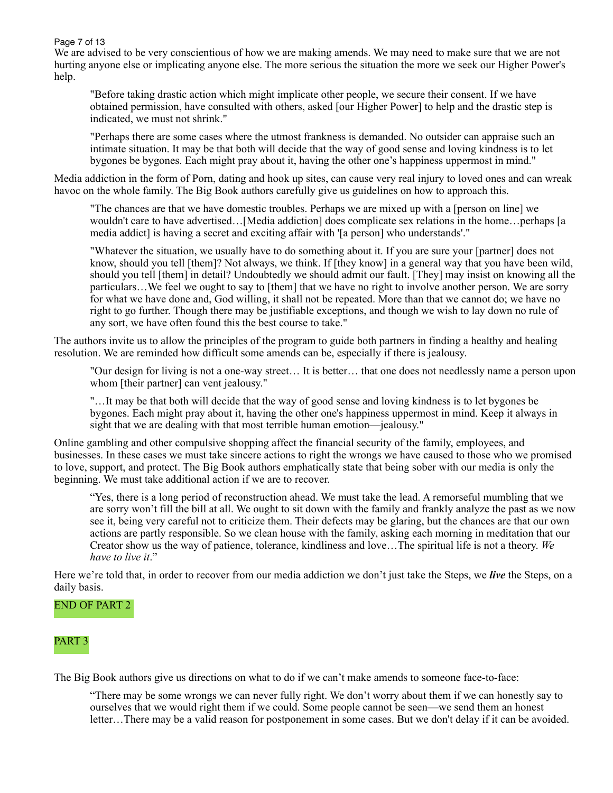## Page 7 of 13

We are advised to be very conscientious of how we are making amends. We may need to make sure that we are not hurting anyone else or implicating anyone else. The more serious the situation the more we seek our Higher Power's help.

"Before taking drastic action which might implicate other people, we secure their consent. If we have obtained permission, have consulted with others, asked [our Higher Power] to help and the drastic step is indicated, we must not shrink."

"Perhaps there are some cases where the utmost frankness is demanded. No outsider can appraise such an intimate situation. It may be that both will decide that the way of good sense and loving kindness is to let bygones be bygones. Each might pray about it, having the other one's happiness uppermost in mind."

Media addiction in the form of Porn, dating and hook up sites, can cause very real injury to loved ones and can wreak havoc on the whole family. The Big Book authors carefully give us guidelines on how to approach this.

"The chances are that we have domestic troubles. Perhaps we are mixed up with a [person on line] we wouldn't care to have advertised…[Media addiction] does complicate sex relations in the home…perhaps [a media addict] is having a secret and exciting affair with '[a person] who understands'."

"Whatever the situation, we usually have to do something about it. If you are sure your [partner] does not know, should you tell [them]? Not always, we think. If [they know] in a general way that you have been wild, should you tell [them] in detail? Undoubtedly we should admit our fault. [They] may insist on knowing all the particulars…We feel we ought to say to [them] that we have no right to involve another person. We are sorry for what we have done and, God willing, it shall not be repeated. More than that we cannot do; we have no right to go further. Though there may be justifiable exceptions, and though we wish to lay down no rule of any sort, we have often found this the best course to take."

The authors invite us to allow the principles of the program to guide both partners in finding a healthy and healing resolution. We are reminded how difficult some amends can be, especially if there is jealousy.

"Our design for living is not a one-way street… It is better… that one does not needlessly name a person upon whom [their partner] can vent jealousy."

"…It may be that both will decide that the way of good sense and loving kindness is to let bygones be bygones. Each might pray about it, having the other one's happiness uppermost in mind. Keep it always in sight that we are dealing with that most terrible human emotion—jealousy."

Online gambling and other compulsive shopping affect the financial security of the family, employees, and businesses. In these cases we must take sincere actions to right the wrongs we have caused to those who we promised to love, support, and protect. The Big Book authors emphatically state that being sober with our media is only the beginning. We must take additional action if we are to recover.

"Yes, there is a long period of reconstruction ahead. We must take the lead. A remorseful mumbling that we are sorry won't fill the bill at all. We ought to sit down with the family and frankly analyze the past as we now see it, being very careful not to criticize them. Their defects may be glaring, but the chances are that our own actions are partly responsible. So we clean house with the family, asking each morning in meditation that our Creator show us the way of patience, tolerance, kindliness and love…The spiritual life is not a theory. *We have to live it*."

Here we're told that, in order to recover from our media addiction we don't just take the Steps, we *live* the Steps, on a daily basis.

## END OF PART 2

# PART 3

The Big Book authors give us directions on what to do if we can't make amends to someone face-to-face:

"There may be some wrongs we can never fully right. We don't worry about them if we can honestly say to ourselves that we would right them if we could. Some people cannot be seen—we send them an honest letter…There may be a valid reason for postponement in some cases. But we don't delay if it can be avoided.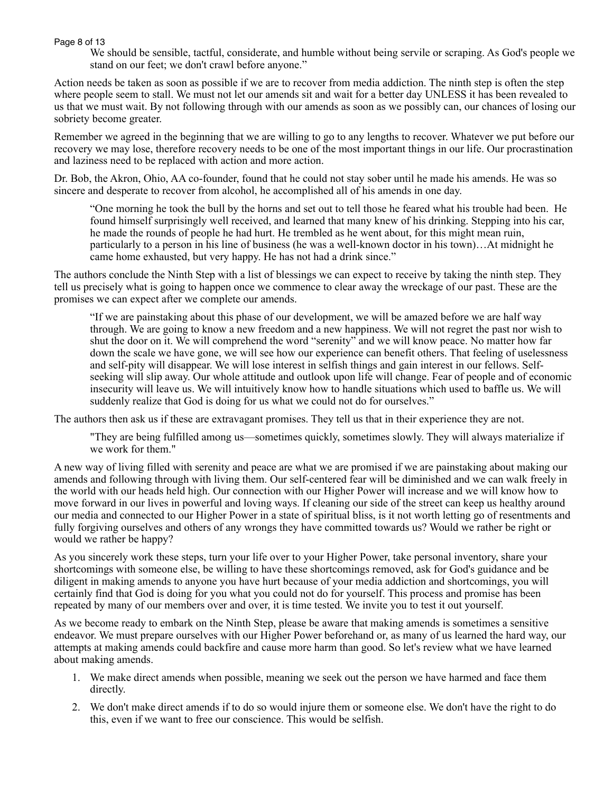## Page 8 of 13

We should be sensible, tactful, considerate, and humble without being servile or scraping. As God's people we stand on our feet; we don't crawl before anyone."

Action needs be taken as soon as possible if we are to recover from media addiction. The ninth step is often the step where people seem to stall. We must not let our amends sit and wait for a better day UNLESS it has been revealed to us that we must wait. By not following through with our amends as soon as we possibly can, our chances of losing our sobriety become greater.

Remember we agreed in the beginning that we are willing to go to any lengths to recover. Whatever we put before our recovery we may lose, therefore recovery needs to be one of the most important things in our life. Our procrastination and laziness need to be replaced with action and more action.

Dr. Bob, the Akron, Ohio, AA co-founder, found that he could not stay sober until he made his amends. He was so sincere and desperate to recover from alcohol, he accomplished all of his amends in one day.

"One morning he took the bull by the horns and set out to tell those he feared what his trouble had been. He found himself surprisingly well received, and learned that many knew of his drinking. Stepping into his car, he made the rounds of people he had hurt. He trembled as he went about, for this might mean ruin, particularly to a person in his line of business (he was a well-known doctor in his town)…At midnight he came home exhausted, but very happy. He has not had a drink since."

The authors conclude the Ninth Step with a list of blessings we can expect to receive by taking the ninth step. They tell us precisely what is going to happen once we commence to clear away the wreckage of our past. These are the promises we can expect after we complete our amends.

"If we are painstaking about this phase of our development, we will be amazed before we are half way through. We are going to know a new freedom and a new happiness. We will not regret the past nor wish to shut the door on it. We will comprehend the word "serenity" and we will know peace. No matter how far down the scale we have gone, we will see how our experience can benefit others. That feeling of uselessness and self-pity will disappear. We will lose interest in selfish things and gain interest in our fellows. Selfseeking will slip away. Our whole attitude and outlook upon life will change. Fear of people and of economic insecurity will leave us. We will intuitively know how to handle situations which used to baffle us. We will suddenly realize that God is doing for us what we could not do for ourselves."

The authors then ask us if these are extravagant promises. They tell us that in their experience they are not.

"They are being fulfilled among us—sometimes quickly, sometimes slowly. They will always materialize if we work for them."

A new way of living filled with serenity and peace are what we are promised if we are painstaking about making our amends and following through with living them. Our self-centered fear will be diminished and we can walk freely in the world with our heads held high. Our connection with our Higher Power will increase and we will know how to move forward in our lives in powerful and loving ways. If cleaning our side of the street can keep us healthy around our media and connected to our Higher Power in a state of spiritual bliss, is it not worth letting go of resentments and fully forgiving ourselves and others of any wrongs they have committed towards us? Would we rather be right or would we rather be happy?

As you sincerely work these steps, turn your life over to your Higher Power, take personal inventory, share your shortcomings with someone else, be willing to have these shortcomings removed, ask for God's guidance and be diligent in making amends to anyone you have hurt because of your media addiction and shortcomings, you will certainly find that God is doing for you what you could not do for yourself. This process and promise has been repeated by many of our members over and over, it is time tested. We invite you to test it out yourself.

As we become ready to embark on the Ninth Step, please be aware that making amends is sometimes a sensitive endeavor. We must prepare ourselves with our Higher Power beforehand or, as many of us learned the hard way, our attempts at making amends could backfire and cause more harm than good. So let's review what we have learned about making amends.

- 1. We make direct amends when possible, meaning we seek out the person we have harmed and face them directly.
- 2. We don't make direct amends if to do so would injure them or someone else. We don't have the right to do this, even if we want to free our conscience. This would be selfish.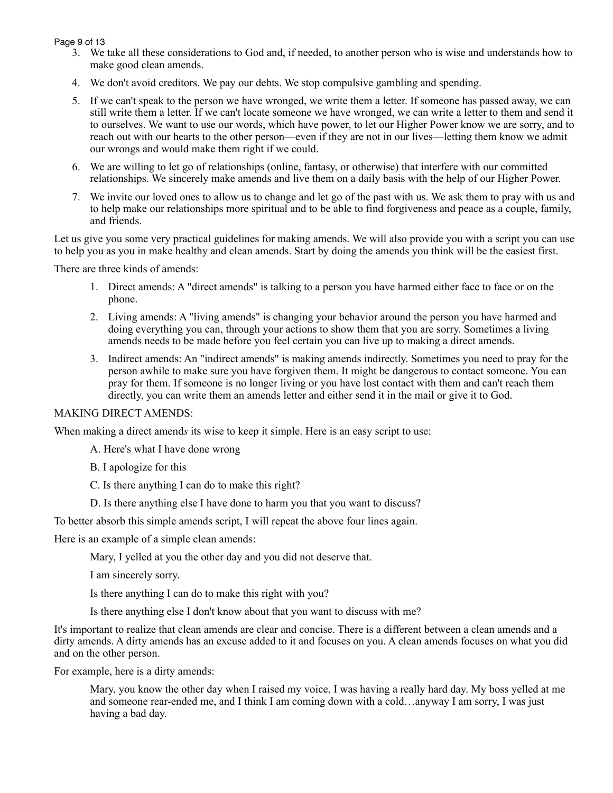## Page 9 of 13

- 3. We take all these considerations to God and, if needed, to another person who is wise and understands how to make good clean amends.
- 4. We don't avoid creditors. We pay our debts. We stop compulsive gambling and spending.
- 5. If we can't speak to the person we have wronged, we write them a letter. If someone has passed away, we can still write them a letter. If we can't locate someone we have wronged, we can write a letter to them and send it to ourselves. We want to use our words, which have power, to let our Higher Power know we are sorry, and to reach out with our hearts to the other person—even if they are not in our lives—letting them know we admit our wrongs and would make them right if we could.
- 6. We are willing to let go of relationships (online, fantasy, or otherwise) that interfere with our committed relationships. We sincerely make amends and live them on a daily basis with the help of our Higher Power.
- 7. We invite our loved ones to allow us to change and let go of the past with us. We ask them to pray with us and to help make our relationships more spiritual and to be able to find forgiveness and peace as a couple, family, and friends.

Let us give you some very practical guidelines for making amends. We will also provide you with a script you can use to help you as you in make healthy and clean amends. Start by doing the amends you think will be the easiest first.

There are three kinds of amends:

- 1. Direct amends: A "direct amends" is talking to a person you have harmed either face to face or on the phone.
- 2. Living amends: A "living amends" is changing your behavior around the person you have harmed and doing everything you can, through your actions to show them that you are sorry. Sometimes a living amends needs to be made before you feel certain you can live up to making a direct amends.
- 3. Indirect amends: An "indirect amends" is making amends indirectly. Sometimes you need to pray for the person awhile to make sure you have forgiven them. It might be dangerous to contact someone. You can pray for them. If someone is no longer living or you have lost contact with them and can't reach them directly, you can write them an amends letter and either send it in the mail or give it to God.

# MAKING DIRECT AMENDS:

When making a direct amend*s* its wise to keep it simple. Here is an easy script to use:

A. Here's what I have done wrong

B. I apologize for this

C. Is there anything I can do to make this right?

D. Is there anything else I have done to harm you that you want to discuss?

To better absorb this simple amends script, I will repeat the above four lines again.

Here is an example of a simple clean amends:

Mary, I yelled at you the other day and you did not deserve that.

I am sincerely sorry.

Is there anything I can do to make this right with you?

Is there anything else I don't know about that you want to discuss with me?

It's important to realize that clean amends are clear and concise. There is a different between a clean amends and a dirty amends. A dirty amends has an excuse added to it and focuses on you. A clean amends focuses on what you did and on the other person.

For example, here is a dirty amends:

Mary, you know the other day when I raised my voice, I was having a really hard day. My boss yelled at me and someone rear-ended me, and I think I am coming down with a cold…anyway I am sorry, I was just having a bad day.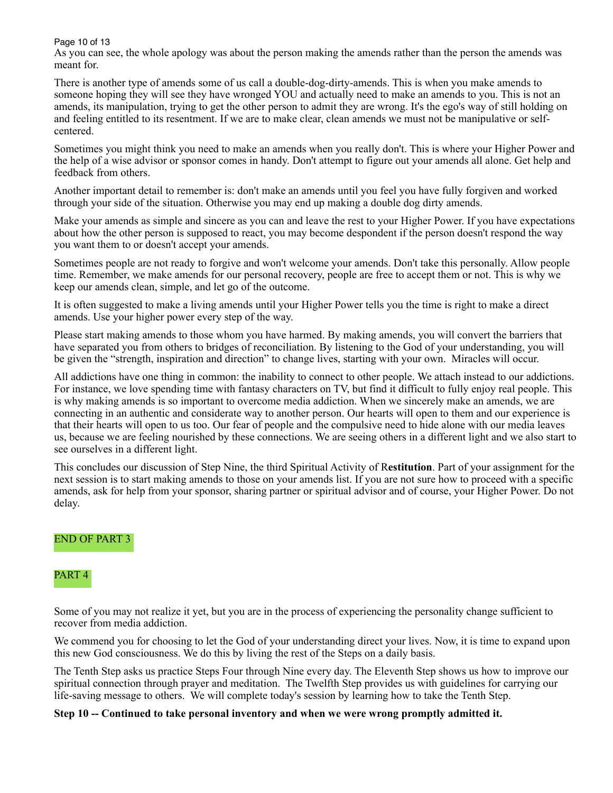## Page 10 of 13

As you can see, the whole apology was about the person making the amends rather than the person the amends was meant for.

There is another type of amends some of us call a double-dog-dirty-amends. This is when you make amends to someone hoping they will see they have wronged YOU and actually need to make an amends to you. This is not an amends, its manipulation, trying to get the other person to admit they are wrong. It's the ego's way of still holding on and feeling entitled to its resentment. If we are to make clear, clean amends we must not be manipulative or selfcentered.

Sometimes you might think you need to make an amends when you really don't. This is where your Higher Power and the help of a wise advisor or sponsor comes in handy. Don't attempt to figure out your amends all alone. Get help and feedback from others.

Another important detail to remember is: don't make an amends until you feel you have fully forgiven and worked through your side of the situation. Otherwise you may end up making a double dog dirty amends.

Make your amends as simple and sincere as you can and leave the rest to your Higher Power. If you have expectations about how the other person is supposed to react, you may become despondent if the person doesn't respond the way you want them to or doesn't accept your amends.

Sometimes people are not ready to forgive and won't welcome your amends. Don't take this personally. Allow people time. Remember, we make amends for our personal recovery, people are free to accept them or not. This is why we keep our amends clean, simple, and let go of the outcome.

It is often suggested to make a living amends until your Higher Power tells you the time is right to make a direct amends. Use your higher power every step of the way.

Please start making amends to those whom you have harmed. By making amends, you will convert the barriers that have separated you from others to bridges of reconciliation. By listening to the God of your understanding, you will be given the "strength, inspiration and direction" to change lives, starting with your own. Miracles will occur.

All addictions have one thing in common: the inability to connect to other people. We attach instead to our addictions. For instance, we love spending time with fantasy characters on TV, but find it difficult to fully enjoy real people. This is why making amends is so important to overcome media addiction. When we sincerely make an amends, we are connecting in an authentic and considerate way to another person. Our hearts will open to them and our experience is that their hearts will open to us too. Our fear of people and the compulsive need to hide alone with our media leaves us, because we are feeling nourished by these connections. We are seeing others in a different light and we also start to see ourselves in a different light.

This concludes our discussion of Step Nine, the third Spiritual Activity of R**estitution**. Part of your assignment for the next session is to start making amends to those on your amends list. If you are not sure how to proceed with a specific amends, ask for help from your sponsor, sharing partner or spiritual advisor and of course, your Higher Power. Do not delay.

# END OF PART 3

# PART 4

Some of you may not realize it yet, but you are in the process of experiencing the personality change sufficient to recover from media addiction.

We commend you for choosing to let the God of your understanding direct your lives. Now, it is time to expand upon this new God consciousness. We do this by living the rest of the Steps on a daily basis.

The Tenth Step asks us practice Steps Four through Nine every day. The Eleventh Step shows us how to improve our spiritual connection through prayer and meditation. The Twelfth Step provides us with guidelines for carrying our life-saving message to others. We will complete today's session by learning how to take the Tenth Step.

## **Step 10 -- Continued to take personal inventory and when we were wrong promptly admitted it.**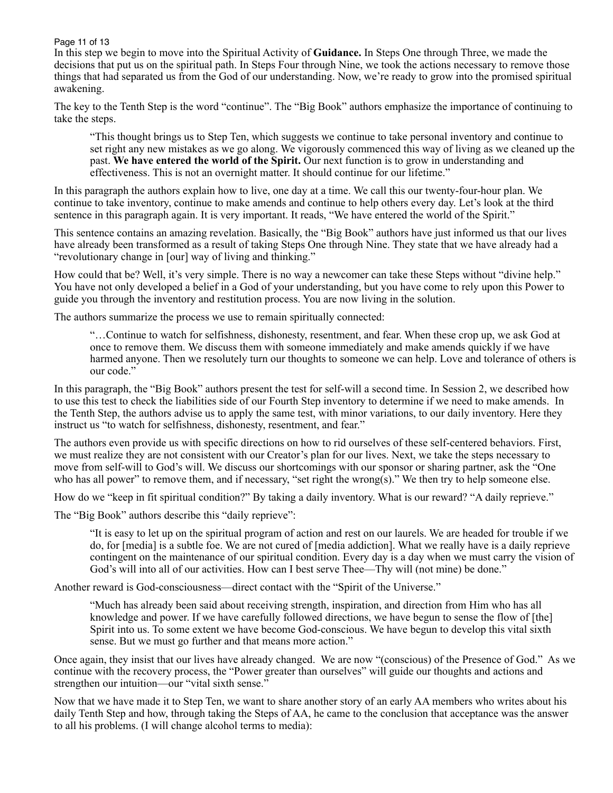### Page 11 of 13

In this step we begin to move into the Spiritual Activity of **Guidance.** In Steps One through Three, we made the decisions that put us on the spiritual path. In Steps Four through Nine, we took the actions necessary to remove those things that had separated us from the God of our understanding. Now, we're ready to grow into the promised spiritual awakening.

The key to the Tenth Step is the word "continue". The "Big Book" authors emphasize the importance of continuing to take the steps.

"This thought brings us to Step Ten, which suggests we continue to take personal inventory and continue to set right any new mistakes as we go along. We vigorously commenced this way of living as we cleaned up the past. **We have entered the world of the Spirit.** Our next function is to grow in understanding and effectiveness. This is not an overnight matter. It should continue for our lifetime."

In this paragraph the authors explain how to live, one day at a time. We call this our twenty-four-hour plan. We continue to take inventory, continue to make amends and continue to help others every day. Let's look at the third sentence in this paragraph again. It is very important. It reads, "We have entered the world of the Spirit."

This sentence contains an amazing revelation. Basically, the "Big Book" authors have just informed us that our lives have already been transformed as a result of taking Steps One through Nine. They state that we have already had a "revolutionary change in [our] way of living and thinking."

How could that be? Well, it's very simple. There is no way a newcomer can take these Steps without "divine help." You have not only developed a belief in a God of your understanding, but you have come to rely upon this Power to guide you through the inventory and restitution process. You are now living in the solution.

The authors summarize the process we use to remain spiritually connected:

"…Continue to watch for selfishness, dishonesty, resentment, and fear. When these crop up, we ask God at once to remove them. We discuss them with someone immediately and make amends quickly if we have harmed anyone. Then we resolutely turn our thoughts to someone we can help. Love and tolerance of others is our code."

In this paragraph, the "Big Book" authors present the test for self-will a second time. In Session 2, we described how to use this test to check the liabilities side of our Fourth Step inventory to determine if we need to make amends. In the Tenth Step, the authors advise us to apply the same test, with minor variations, to our daily inventory. Here they instruct us "to watch for selfishness, dishonesty, resentment, and fear."

The authors even provide us with specific directions on how to rid ourselves of these self-centered behaviors. First, we must realize they are not consistent with our Creator's plan for our lives. Next, we take the steps necessary to move from self-will to God's will. We discuss our shortcomings with our sponsor or sharing partner, ask the "One who has all power" to remove them, and if necessary, "set right the wrong(s)." We then try to help someone else.

How do we "keep in fit spiritual condition?" By taking a daily inventory. What is our reward? "A daily reprieve."

The "Big Book" authors describe this "daily reprieve":

"It is easy to let up on the spiritual program of action and rest on our laurels. We are headed for trouble if we do, for [media] is a subtle foe. We are not cured of [media addiction]. What we really have is a daily reprieve contingent on the maintenance of our spiritual condition. Every day is a day when we must carry the vision of God's will into all of our activities. How can I best serve Thee—Thy will (not mine) be done."

Another reward is God-consciousness—direct contact with the "Spirit of the Universe."

"Much has already been said about receiving strength, inspiration, and direction from Him who has all knowledge and power. If we have carefully followed directions, we have begun to sense the flow of [the] Spirit into us. To some extent we have become God-conscious. We have begun to develop this vital sixth sense. But we must go further and that means more action."

Once again, they insist that our lives have already changed. We are now "(conscious) of the Presence of God." As we continue with the recovery process, the "Power greater than ourselves" will guide our thoughts and actions and strengthen our intuition—our "vital sixth sense."

Now that we have made it to Step Ten, we want to share another story of an early AA members who writes about his daily Tenth Step and how, through taking the Steps of AA, he came to the conclusion that acceptance was the answer to all his problems. (I will change alcohol terms to media):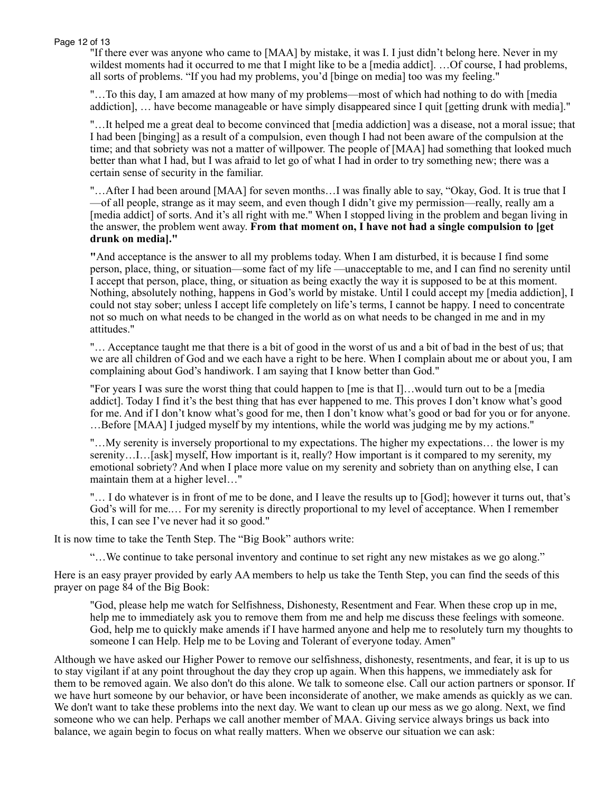### Page 12 of 13

"If there ever was anyone who came to [MAA] by mistake, it was I. I just didn't belong here. Never in my wildest moments had it occurred to me that I might like to be a [media addict]. ... Of course, I had problems, all sorts of problems. "If you had my problems, you'd [binge on media] too was my feeling."

"…To this day, I am amazed at how many of my problems—most of which had nothing to do with [media addiction], … have become manageable or have simply disappeared since I quit [getting drunk with media]."

"…It helped me a great deal to become convinced that [media addiction] was a disease, not a moral issue; that I had been [binging] as a result of a compulsion, even though I had not been aware of the compulsion at the time; and that sobriety was not a matter of willpower. The people of [MAA] had something that looked much better than what I had, but I was afraid to let go of what I had in order to try something new; there was a certain sense of security in the familiar.

"…After I had been around [MAA] for seven months…I was finally able to say, "Okay, God. It is true that I —of all people, strange as it may seem, and even though I didn't give my permission—really, really am a [media addict] of sorts. And it's all right with me." When I stopped living in the problem and began living in the answer, the problem went away. **From that moment on, I have not had a single compulsion to [get drunk on media]."**

**"**And acceptance is the answer to all my problems today. When I am disturbed, it is because I find some person, place, thing, or situation—some fact of my life —unacceptable to me, and I can find no serenity until I accept that person, place, thing, or situation as being exactly the way it is supposed to be at this moment. Nothing, absolutely nothing, happens in God's world by mistake. Until I could accept my [media addiction], I could not stay sober; unless I accept life completely on life's terms, I cannot be happy. I need to concentrate not so much on what needs to be changed in the world as on what needs to be changed in me and in my attitudes."

"… Acceptance taught me that there is a bit of good in the worst of us and a bit of bad in the best of us; that we are all children of God and we each have a right to be here. When I complain about me or about you, I am complaining about God's handiwork. I am saying that I know better than God."

"For years I was sure the worst thing that could happen to [me is that I]…would turn out to be a [media addict]. Today I find it's the best thing that has ever happened to me. This proves I don't know what's good for me. And if I don't know what's good for me, then I don't know what's good or bad for you or for anyone. …Before [MAA] I judged myself by my intentions, while the world was judging me by my actions."

"…My serenity is inversely proportional to my expectations. The higher my expectations… the lower is my serenity…I…[ask] myself, How important is it, really? How important is it compared to my serenity, my emotional sobriety? And when I place more value on my serenity and sobriety than on anything else, I can maintain them at a higher level…"

"… I do whatever is in front of me to be done, and I leave the results up to [God]; however it turns out, that's God's will for me.… For my serenity is directly proportional to my level of acceptance. When I remember this, I can see I've never had it so good."

It is now time to take the Tenth Step. The "Big Book" authors write:

"…We continue to take personal inventory and continue to set right any new mistakes as we go along."

Here is an easy prayer provided by early AA members to help us take the Tenth Step, you can find the seeds of this prayer on page 84 of the Big Book:

"God, please help me watch for Selfishness, Dishonesty, Resentment and Fear. When these crop up in me, help me to immediately ask you to remove them from me and help me discuss these feelings with someone. God, help me to quickly make amends if I have harmed anyone and help me to resolutely turn my thoughts to someone I can Help. Help me to be Loving and Tolerant of everyone today. Amen"

Although we have asked our Higher Power to remove our selfishness, dishonesty, resentments, and fear, it is up to us to stay vigilant if at any point throughout the day they crop up again. When this happens, we immediately ask for them to be removed again. We also don't do this alone. We talk to someone else. Call our action partners or sponsor. If we have hurt someone by our behavior, or have been inconsiderate of another, we make amends as quickly as we can. We don't want to take these problems into the next day. We want to clean up our mess as we go along. Next, we find someone who we can help. Perhaps we call another member of MAA. Giving service always brings us back into balance, we again begin to focus on what really matters. When we observe our situation we can ask: